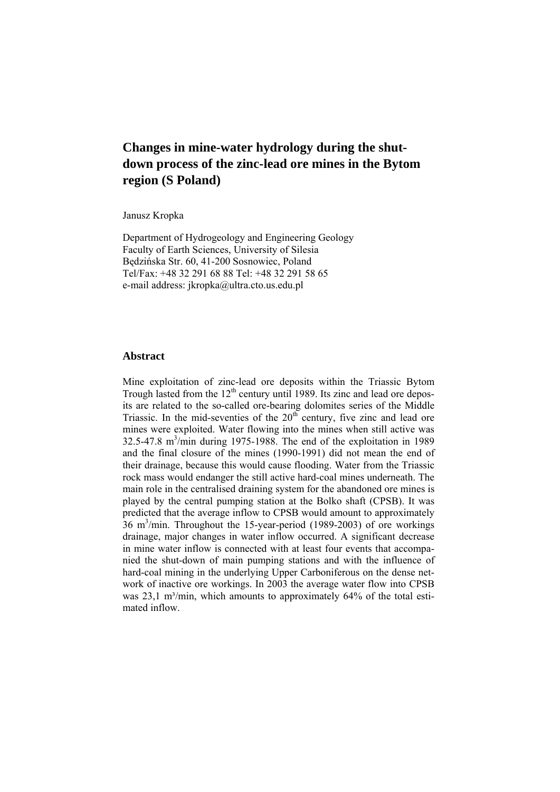Janusz Kropka

Department of Hydrogeology and Engineering Geology Faculty of Earth Sciences, University of Silesia Będzińska Str. 60, 41-200 Sosnowiec, Poland Tel/Fax: +48 32 291 68 88 Tel: +48 32 291 58 65 e-mail address: jkropka@ultra.cto.us.edu.pl

### **Abstract**

Mine exploitation of zinc-lead ore deposits within the Triassic Bytom Trough lasted from the  $12<sup>th</sup>$  century until 1989. Its zinc and lead ore deposits are related to the so-called ore-bearing dolomites series of the Middle Triassic. In the mid-seventies of the  $20<sup>th</sup>$  century, five zinc and lead ore mines were exploited. Water flowing into the mines when still active was 32.5-47.8 m<sup>3</sup>/min during 1975-1988. The end of the exploitation in 1989 and the final closure of the mines (1990-1991) did not mean the end of their drainage, because this would cause flooding. Water from the Triassic rock mass would endanger the still active hard-coal mines underneath. The main role in the centralised draining system for the abandoned ore mines is played by the central pumping station at the Bolko shaft (CPSB). It was predicted that the average inflow to CPSB would amount to approximately  $36 \text{ m}^3/\text{min}$ . Throughout the 15-year-period (1989-2003) of ore workings drainage, major changes in water inflow occurred. A significant decrease in mine water inflow is connected with at least four events that accompanied the shut-down of main pumping stations and with the influence of hard-coal mining in the underlying Upper Carboniferous on the dense network of inactive ore workings. In 2003 the average water flow into CPSB was  $23.1 \text{ m}^3/\text{min}$ , which amounts to approximately  $64\%$  of the total estimated inflow.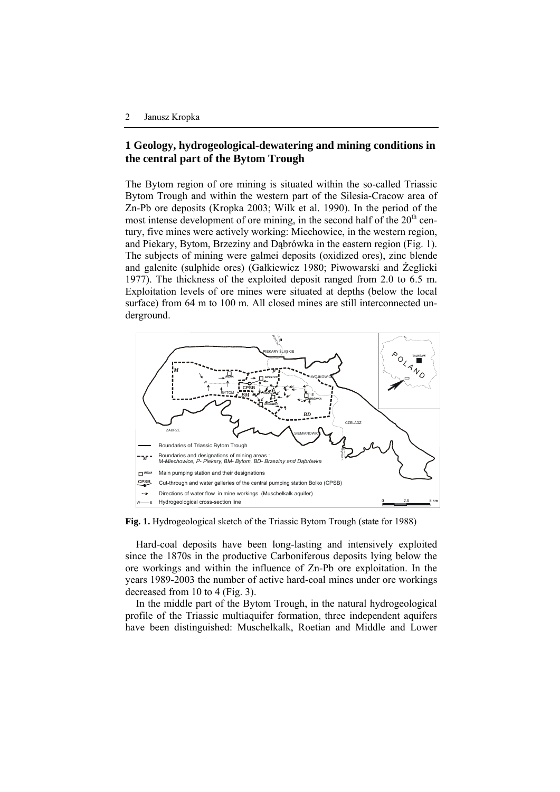# **1 Geology, hydrogeological-dewatering and mining conditions in the central part of the Bytom Trough**

The Bytom region of ore mining is situated within the so-called Triassic Bytom Trough and within the western part of the Silesia-Cracow area of Zn-Pb ore deposits (Kropka 2003; Wilk et al. 1990). In the period of the most intense development of ore mining, in the second half of the  $20<sup>th</sup>$  century, five mines were actively working: Miechowice, in the western region, and Piekary, Bytom, Brzeziny and Dąbrówka in the eastern region (Fig. 1). The subjects of mining were galmei deposits (oxidized ores), zinc blende and galenite (sulphide ores) (Gałkiewicz 1980; Piwowarski and Żeglicki 1977). The thickness of the exploited deposit ranged from 2.0 to 6.5 m. Exploitation levels of ore mines were situated at depths (below the local surface) from 64 m to 100 m. All closed mines are still interconnected underground.



**Fig. 1.** Hydrogeological sketch of the Triassic Bytom Trough (state for 1988)

Hard-coal deposits have been long-lasting and intensively exploited since the 1870s in the productive Carboniferous deposits lying below the ore workings and within the influence of Zn-Pb ore exploitation. In the years 1989-2003 the number of active hard-coal mines under ore workings decreased from 10 to 4 (Fig. 3).

In the middle part of the Bytom Trough, in the natural hydrogeological profile of the Triassic multiaquifer formation, three independent aquifers have been distinguished: Muschelkalk, Roetian and Middle and Lower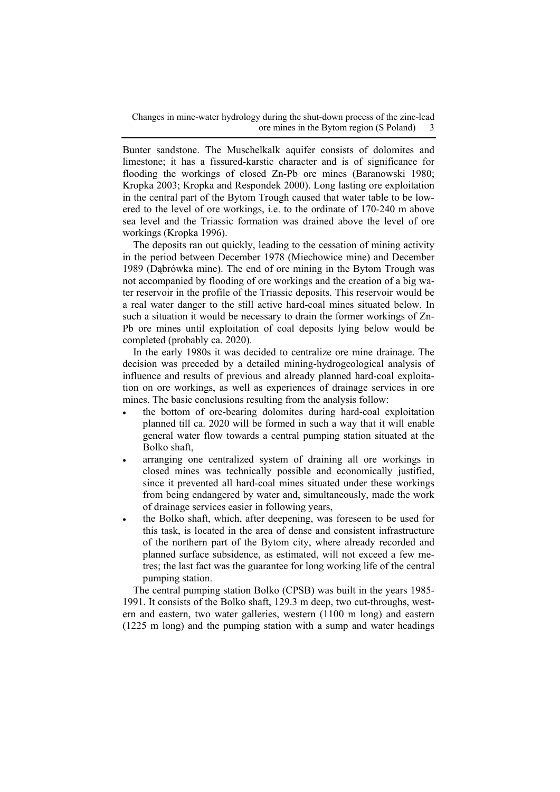Bunter sandstone. The Muschelkalk aquifer consists of dolomites and limestone; it has a fissured-karstic character and is of significance for flooding the workings of closed Zn-Pb ore mines (Baranowski 1980; Kropka 2003; Kropka and Respondek 2000). Long lasting ore exploitation in the central part of the Bytom Trough caused that water table to be lowered to the level of ore workings, i.e. to the ordinate of 170-240 m above sea level and the Triassic formation was drained above the level of ore workings (Kropka 1996).

The deposits ran out quickly, leading to the cessation of mining activity in the period between December 1978 (Miechowice mine) and December 1989 (Dąbrówka mine). The end of ore mining in the Bytom Trough was not accompanied by flooding of ore workings and the creation of a big water reservoir in the profile of the Triassic deposits. This reservoir would be a real water danger to the still active hard-coal mines situated below. In such a situation it would be necessary to drain the former workings of Zn-Pb ore mines until exploitation of coal deposits lying below would be completed (probably ca. 2020).

In the early 1980s it was decided to centralize ore mine drainage. The decision was preceded by a detailed mining-hydrogeological analysis of influence and results of previous and already planned hard-coal exploitation on ore workings, as well as experiences of drainage services in ore mines. The basic conclusions resulting from the analysis follow:

- the bottom of ore-bearing dolomites during hard-coal exploitation planned till ca. 2020 will be formed in such a way that it will enable general water flow towards a central pumping station situated at the Bolko shaft,
- arranging one centralized system of draining all ore workings in closed mines was technically possible and economically justified, since it prevented all hard-coal mines situated under these workings from being endangered by water and, simultaneously, made the work of drainage services easier in following years,
- the Bolko shaft, which, after deepening, was foreseen to be used for this task, is located in the area of dense and consistent infrastructure of the northern part of the Bytom city, where already recorded and planned surface subsidence, as estimated, will not exceed a few metres; the last fact was the guarantee for long working life of the central pumping station.

The central pumping station Bolko (CPSB) was built in the years 1985- 1991. It consists of the Bolko shaft, 129.3 m deep, two cut-throughs, western and eastern, two water galleries, western (1100 m long) and eastern (1225 m long) and the pumping station with a sump and water headings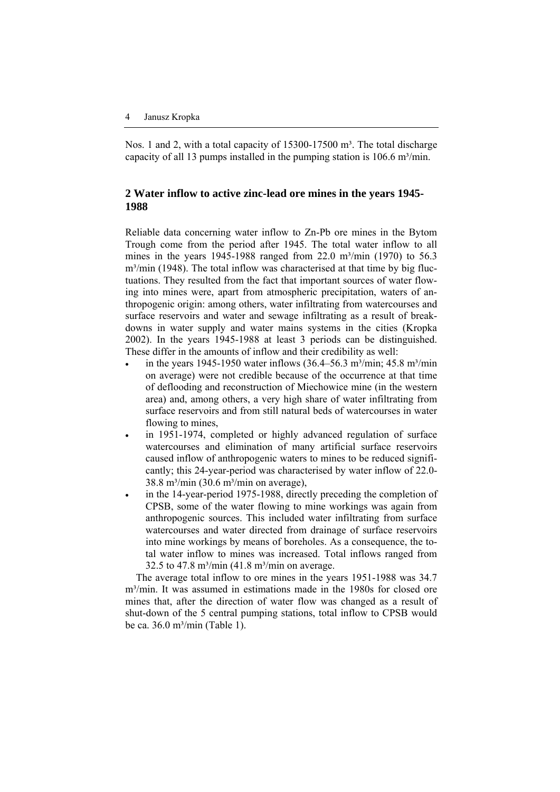Nos. 1 and 2, with a total capacity of  $15300-17500$  m<sup>3</sup>. The total discharge capacity of all 13 pumps installed in the pumping station is  $106.6 \text{ m}^3/\text{min}$ .

# **2 Water inflow to active zinc-lead ore mines in the years 1945- 1988**

Reliable data concerning water inflow to Zn-Pb ore mines in the Bytom Trough come from the period after 1945. The total water inflow to all mines in the years 1945-1988 ranged from 22.0 m<sup>3</sup>/min (1970) to 56.3  $m<sup>3</sup>/min$  (1948). The total inflow was characterised at that time by big fluctuations. They resulted from the fact that important sources of water flowing into mines were, apart from atmospheric precipitation, waters of anthropogenic origin: among others, water infiltrating from watercourses and surface reservoirs and water and sewage infiltrating as a result of breakdowns in water supply and water mains systems in the cities (Kropka 2002). In the years 1945-1988 at least 3 periods can be distinguished. These differ in the amounts of inflow and their credibility as well:

- in the years 1945-1950 water inflows  $(36.4–56.3 \text{ m}^3/\text{min}; 45.8 \text{ m}^3/\text{min})$ on average) were not credible because of the occurrence at that time of deflooding and reconstruction of Miechowice mine (in the western area) and, among others, a very high share of water infiltrating from surface reservoirs and from still natural beds of watercourses in water flowing to mines,
- in 1951-1974, completed or highly advanced regulation of surface watercourses and elimination of many artificial surface reservoirs caused inflow of anthropogenic waters to mines to be reduced significantly; this 24-year-period was characterised by water inflow of 22.0-  $38.8$  m<sup>3</sup>/min (30.6 m<sup>3</sup>/min on average),
- in the 14-year-period 1975-1988, directly preceding the completion of CPSB, some of the water flowing to mine workings was again from anthropogenic sources. This included water infiltrating from surface watercourses and water directed from drainage of surface reservoirs into mine workings by means of boreholes. As a consequence, the total water inflow to mines was increased. Total inflows ranged from 32.5 to 47.8 m<sup>3</sup>/min (41.8 m<sup>3</sup>/min on average.

The average total inflow to ore mines in the years 1951-1988 was 34.7 m<sup>3</sup>/min. It was assumed in estimations made in the 1980s for closed ore mines that, after the direction of water flow was changed as a result of shut-down of the 5 central pumping stations, total inflow to CPSB would be ca.  $36.0$  m<sup>3</sup>/min (Table 1).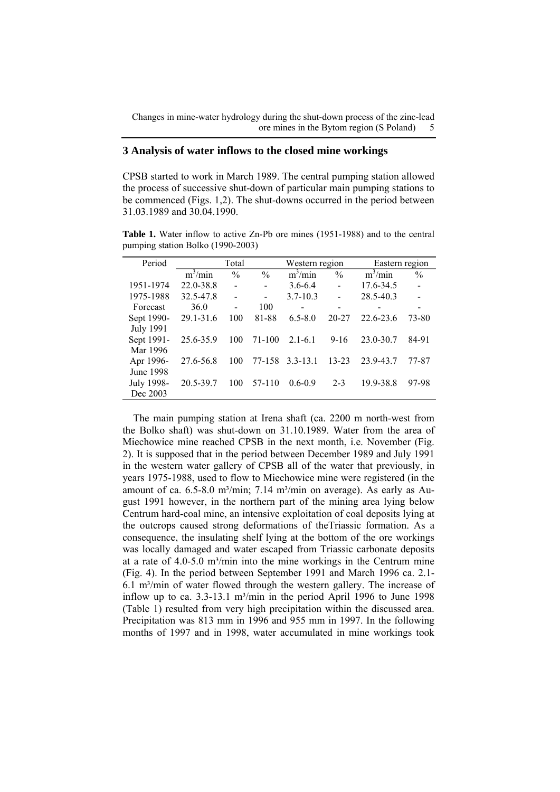## **3 Analysis of water inflows to the closed mine workings**

CPSB started to work in March 1989. The central pumping station allowed the process of successive shut-down of particular main pumping stations to be commenced (Figs. 1,2). The shut-downs occurred in the period between 31.03.1989 and 30.04.1990.

**Table 1.** Water inflow to active Zn-Pb ore mines (1951-1988) and to the central pumping station Bolko (1990-2003)

| Period           | Total                 |                |                          | Western region |                | Eastern region |                |
|------------------|-----------------------|----------------|--------------------------|----------------|----------------|----------------|----------------|
|                  | $\overline{m}^3$ /min | $\frac{0}{0}$  | $\frac{0}{0}$            | $m^3/min$      | $\frac{0}{0}$  | $m^3/m$ in     | $\frac{0}{0}$  |
| 1951-1974        | 22.0-38.8             | $\overline{a}$ | $\overline{a}$           | $3.6 - 6.4$    | $\overline{a}$ | 17.6-34.5      | $\overline{a}$ |
| 1975-1988        | 32.5-47.8             |                | $\overline{\phantom{0}}$ | $3.7 - 10.3$   |                | 28.5-40.3      |                |
| Forecast         | 36.0                  | $\overline{a}$ | 100                      | -              | -              |                | -              |
| Sept 1990-       | $29.1 - 31.6$         | 100            | 81-88                    | $6.5 - 8.0$    | $20 - 27$      | 22.6-23.6      | 73-80          |
| <b>July 1991</b> |                       |                |                          |                |                |                |                |
| Sept 1991-       | 25.6-35.9             | 100            | 71-100                   | $2.1 - 6.1$    | $9 - 16$       | 23.0-30.7      | 84-91          |
| Mar 1996         |                       |                |                          |                |                |                |                |
| Apr 1996-        | 27.6-56.8             | 100            | 77-158                   | $3.3 - 13.1$   | $13 - 23$      | 23.9-43.7      | 77-87          |
| June 1998        |                       |                |                          |                |                |                |                |
| July 1998-       | 20.5-39.7             | 100            | 57-110                   | $0.6 - 0.9$    | $2 - 3$        | 19.9-38.8      | 97-98          |
| Dec 2003         |                       |                |                          |                |                |                |                |

The main pumping station at Irena shaft (ca. 2200 m north-west from the Bolko shaft) was shut-down on 31.10.1989. Water from the area of Miechowice mine reached CPSB in the next month, i.e. November (Fig. 2). It is supposed that in the period between December 1989 and July 1991 in the western water gallery of CPSB all of the water that previously, in years 1975-1988, used to flow to Miechowice mine were registered (in the amount of ca.  $6.5-8.0$  m<sup>3</sup>/min;  $7.14$  m<sup>3</sup>/min on average). As early as August 1991 however, in the northern part of the mining area lying below Centrum hard-coal mine, an intensive exploitation of coal deposits lying at the outcrops caused strong deformations of theTriassic formation. As a consequence, the insulating shelf lying at the bottom of the ore workings was locally damaged and water escaped from Triassic carbonate deposits at a rate of  $4.0 - 5.0$  m<sup>3</sup>/min into the mine workings in the Centrum mine (Fig. 4). In the period between September 1991 and March 1996 ca. 2.1-  $6.1 \text{ m}^3/\text{min}$  of water flowed through the western gallery. The increase of inflow up to ca.  $3.3$ -13.1 m<sup>3</sup>/min in the period April 1996 to June 1998 (Table 1) resulted from very high precipitation within the discussed area. Precipitation was 813 mm in 1996 and 955 mm in 1997. In the following months of 1997 and in 1998, water accumulated in mine workings took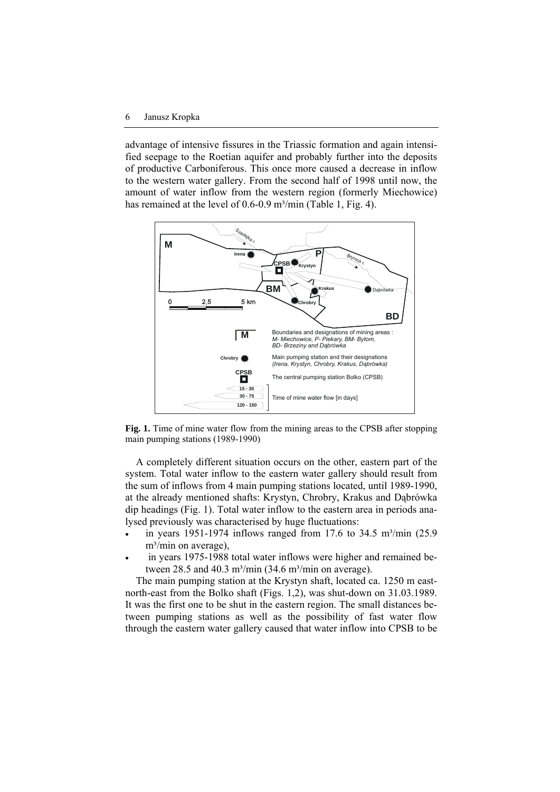advantage of intensive fissures in the Triassic formation and again intensified seepage to the Roetian aquifer and probably further into the deposits of productive Carboniferous. This once more caused a decrease in inflow to the western water gallery. From the second half of 1998 until now, the amount of water inflow from the western region (formerly Miechowice) has remained at the level of  $0.6$ - $0.9$  m<sup>3</sup>/min (Table 1, Fig. 4).



**Fig. 1.** Time of mine water flow from the mining areas to the CPSB after stopping main pumping stations (1989-1990)

A completely different situation occurs on the other, eastern part of the system. Total water inflow to the eastern water gallery should result from the sum of inflows from 4 main pumping stations located, until 1989-1990, at the already mentioned shafts: Krystyn, Chrobry, Krakus and Dąbrówka dip headings (Fig. 1). Total water inflow to the eastern area in periods analysed previously was characterised by huge fluctuations:

- in years 1951-1974 inflows ranged from 17.6 to 34.5 m<sup>3</sup>/min  $(25.9)$  $m<sup>3</sup>/min$  on average),
- in years 1975-1988 total water inflows were higher and remained between 28.5 and 40.3 m<sup>3</sup>/min (34.6 m<sup>3</sup>/min on average).

The main pumping station at the Krystyn shaft, located ca. 1250 m eastnorth-east from the Bolko shaft (Figs. 1,2), was shut-down on 31.03.1989. It was the first one to be shut in the eastern region. The small distances between pumping stations as well as the possibility of fast water flow through the eastern water gallery caused that water inflow into CPSB to be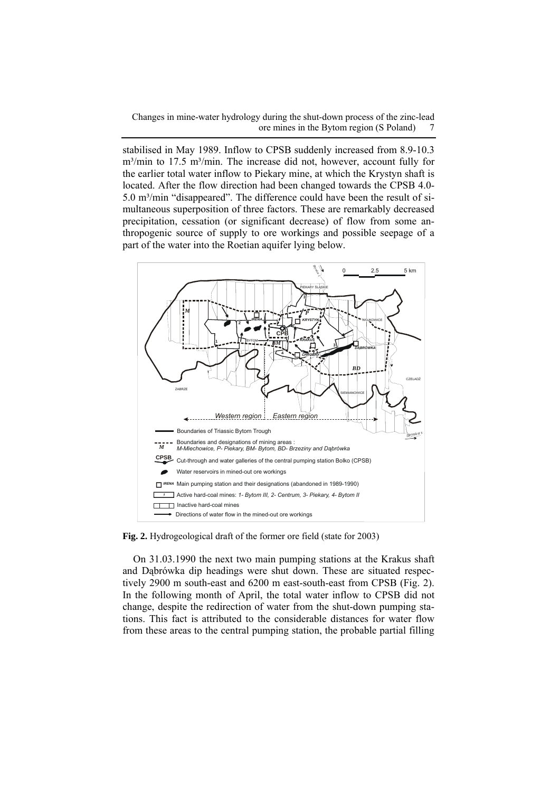stabilised in May 1989. Inflow to CPSB suddenly increased from 8.9-10.3  $m<sup>3</sup>/min$  to 17.5 m<sup>3</sup>/min. The increase did not, however, account fully for the earlier total water inflow to Piekary mine, at which the Krystyn shaft is located. After the flow direction had been changed towards the CPSB 4.0-  $5.0 \text{ m}^3/\text{min}$  "disappeared". The difference could have been the result of simultaneous superposition of three factors. These are remarkably decreased precipitation, cessation (or significant decrease) of flow from some anthropogenic source of supply to ore workings and possible seepage of a part of the water into the Roetian aquifer lying below.



**Fig. 2.** Hydrogeological draft of the former ore field (state for 2003)

On 31.03.1990 the next two main pumping stations at the Krakus shaft and Dąbrówka dip headings were shut down. These are situated respectively 2900 m south-east and 6200 m east-south-east from CPSB (Fig. 2). In the following month of April, the total water inflow to CPSB did not change, despite the redirection of water from the shut-down pumping stations. This fact is attributed to the considerable distances for water flow from these areas to the central pumping station, the probable partial filling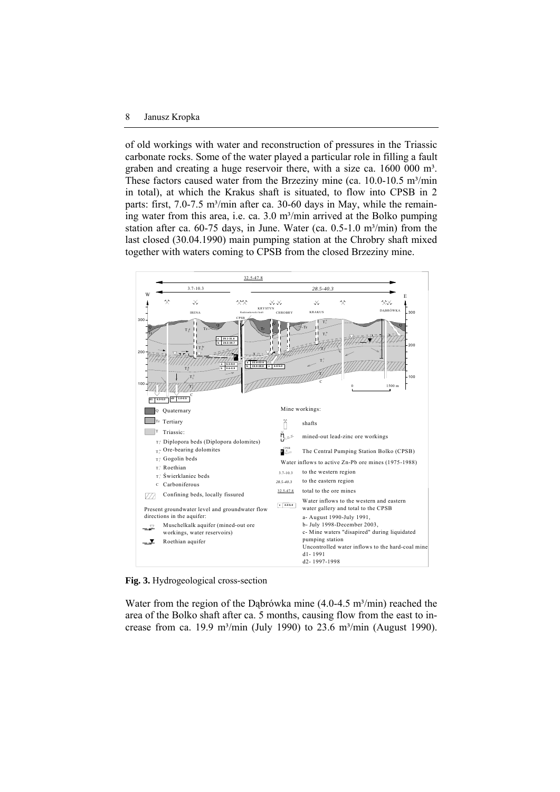#### 8 Janusz Kropka

of old workings with water and reconstruction of pressures in the Triassic carbonate rocks. Some of the water played a particular role in filling a fault graben and creating a huge reservoir there, with a size ca. 1600 000 m<sup>3</sup>. These factors caused water from the Brzeziny mine (ca.  $10.0-10.5$  m<sup>3</sup>/min in total), at which the Krakus shaft is situated, to flow into CPSB in 2 parts: first,  $7.0$ - $7.5$  m<sup>3</sup>/min after ca.  $30$ - $60$  days in May, while the remaining water from this area, i.e. ca.  $3.0 \text{ m}^3/\text{min}$  arrived at the Bolko pumping station after ca.  $60-75$  days, in June. Water (ca.  $0.5-1.0$  m<sup>3</sup>/min) from the last closed (30.04.1990) main pumping station at the Chrobry shaft mixed together with waters coming to CPSB from the closed Brzeziny mine.



**Fig. 3.** Hydrogeological cross-section

Water from the region of the Dabrówka mine  $(4.0-4.5 \text{ m}^3/\text{min})$  reached the area of the Bolko shaft after ca. 5 months, causing flow from the east to increase from ca. 19.9 m<sup>3</sup>/min (July 1990) to 23.6 m<sup>3</sup>/min (August 1990).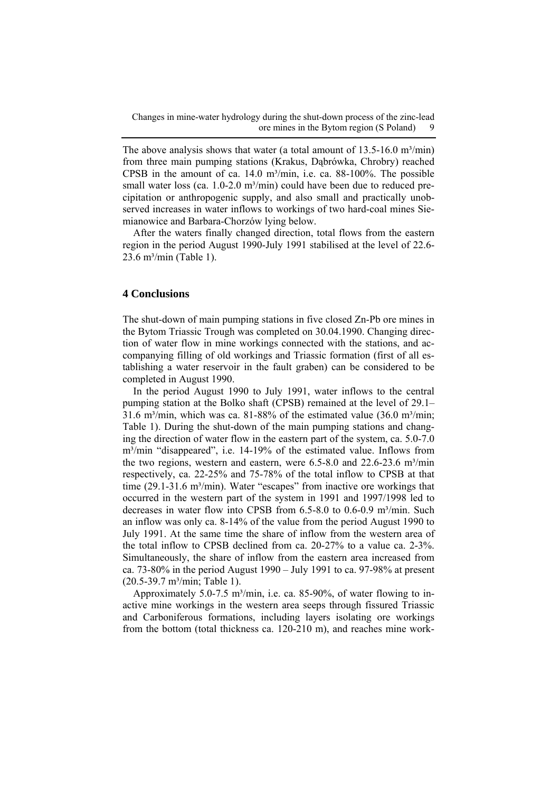The above analysis shows that water (a total amount of  $13.5\n-16.0$  m<sup>3</sup>/min) from three main pumping stations (Krakus, Dąbrówka, Chrobry) reached CPSB in the amount of ca.  $14.0 \text{ m}^3/\text{min}$ , i.e. ca.  $88-100\%$ . The possible small water loss (ca.  $1.0$ -2.0 m<sup>3</sup>/min) could have been due to reduced precipitation or anthropogenic supply, and also small and practically unobserved increases in water inflows to workings of two hard-coal mines Siemianowice and Barbara-Chorzów lying below.

After the waters finally changed direction, total flows from the eastern region in the period August 1990-July 1991 stabilised at the level of 22.6- 23.6 m<sup>3</sup>/min (Table 1).

## **4 Conclusions**

The shut-down of main pumping stations in five closed Zn-Pb ore mines in the Bytom Triassic Trough was completed on 30.04.1990. Changing direction of water flow in mine workings connected with the stations, and accompanying filling of old workings and Triassic formation (first of all establishing a water reservoir in the fault graben) can be considered to be completed in August 1990.

In the period August 1990 to July 1991, water inflows to the central pumping station at the Bolko shaft (CPSB) remained at the level of 29.1– 31.6 m<sup>3</sup>/min, which was ca. 81-88% of the estimated value (36.0 m<sup>3</sup>/min; Table 1). During the shut-down of the main pumping stations and changing the direction of water flow in the eastern part of the system, ca. 5.0-7.0 m³/min "disappeared", i.e. 14-19% of the estimated value. Inflows from the two regions, western and eastern, were  $6.5-8.0$  and  $22.6-23.6$  m<sup>3</sup>/min respectively, ca. 22-25% and 75-78% of the total inflow to CPSB at that time (29.1-31.6 m<sup>3</sup>/min). Water "escapes" from inactive ore workings that occurred in the western part of the system in 1991 and 1997/1998 led to decreases in water flow into CPSB from  $6.5-8.0$  to  $0.6-0.9$  m<sup>3</sup>/min. Such an inflow was only ca. 8-14% of the value from the period August 1990 to July 1991. At the same time the share of inflow from the western area of the total inflow to CPSB declined from ca. 20-27% to a value ca. 2-3%. Simultaneously, the share of inflow from the eastern area increased from ca. 73-80% in the period August 1990 – July 1991 to ca. 97-98% at present (20.5-39.7 m³/min; Table 1).

Approximately 5.0-7.5 m<sup>3</sup>/min, i.e. ca. 85-90%, of water flowing to inactive mine workings in the western area seeps through fissured Triassic and Carboniferous formations, including layers isolating ore workings from the bottom (total thickness ca. 120-210 m), and reaches mine work